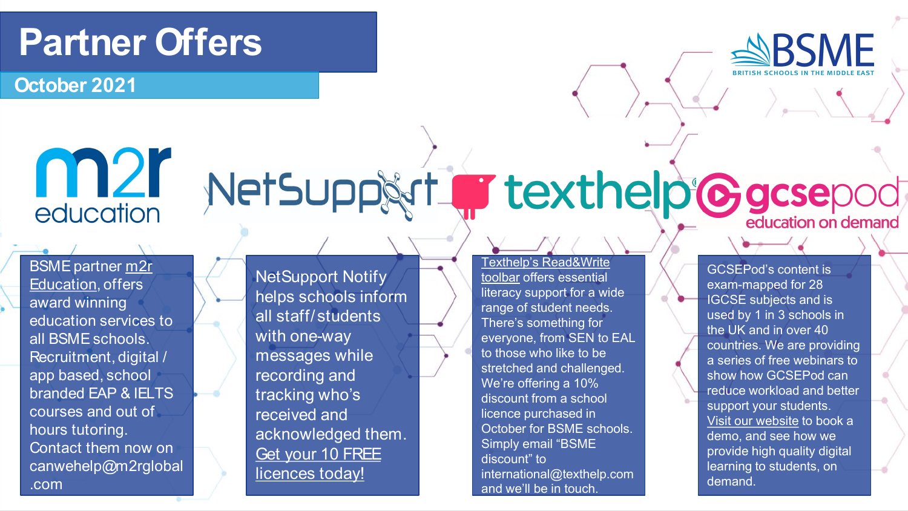#### **Partner Offers**

**October 2021**

### m<sub>2</sub>r education

[BSME partner m2r](http://www.m2rglobal.com)  Education, offers award winning education services to all BSME schools. Recruitment, digital / app based, school branded EAP & IELTS courses and out of hours tutoring. Contact them now on canwehelp@m2rglobal .com

NetSupport Notify helps schools inform all staff/students with one-way messages while recording and tracking who's received and acknowledged them. Get your 10 FREE licences today!

[Texthelp's Read&Write](https://www.texthelp.com/en-gb/products/read-and-write-education/)  toolbar offers essential literacy support for a wide range of student needs. There's something for everyone, from SEN to EAL to those who like to be stretched and challenged. We're offering a 10% discount from a school licence purchased in October for BSME schools. Simply email "BSME discount" to international@texthelp.com and we'll be in touch.

GCSEPod's content is exam-mapped for 28 IGCSE subjects and is used by 1 in 3 schools in the UK and in over 40 countries. We are providing a series of free webinars to show how GCSEPod can reduce workload and better support your students. [Visit our website](http://www.gcsepod.com/international) to book a demo, and see how we provide high quality digital learning to students, on demand.

# NetSupp&rt Trexthelp Cacsepod

**ABSME**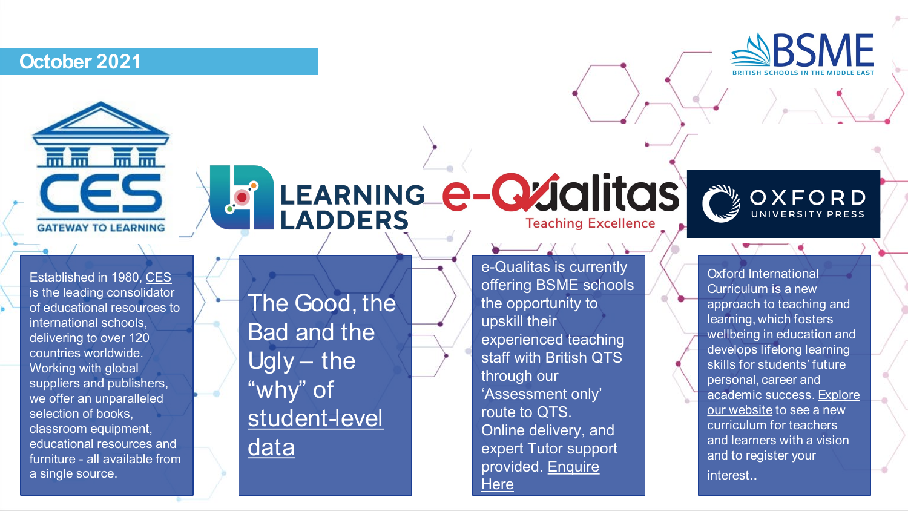#### **October 2021**





# LEARNING **e-Qualitas**



The Good, the Bad and the Ugly – the "why" of [student-level](https://www.learningladders.info/event/the-good-the-bad-and-the-ugly-the-why-of-student-level-data/)  data

e-Qualitas is currently offering BSME schools the opportunity to upskill their experienced teaching staff with British QTS through our 'Assessment only' route to QTS. Online delivery, and expert Tutor support [provided. Enquire](https://www.e-qualitas.co.uk/international/)  **Here** 



Oxford International Curriculum is a new approach to teaching and learning, which fosters wellbeing in education and develops lifelong learning skills for students' future personal, career and [academic success. Explore](http://www.oxfordinternationalcurriculum.com/)  our website to see a new curriculum for teachers and learners with a vision and to register your interest..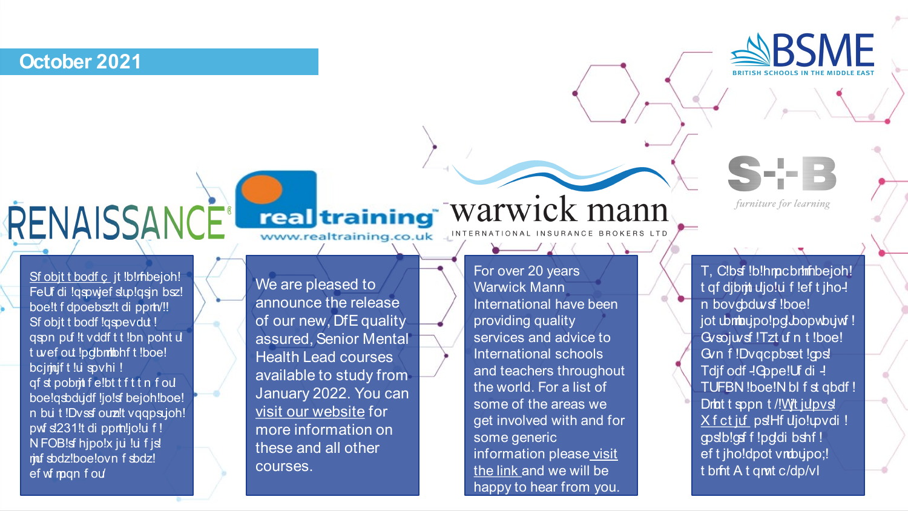October 2021



furniture for learning

**RSMF** 

Sf objt t bodf c jt !b!rhbejoh! FeU di !qspwef sup!qsjn bsz! boe!t f dpoebsz!t di pprty!! Sf objt t bodf !gspevdut ! gspn puf !t vddf t t !bn poht u t wef out !pdbmibhf t !boe! bcimuft!u spvhi! gfst pobmit felbt tfttn fou boe!gsbdudf !jo!sf bejoh!boe! n bu t !Dvssf ouz! tvggpsujoh! pwf sl231!t di pprh!jo!u f! N FOB!sf hjpo!x ju !u f js! muf sbdz!boe!ovn f sbdz! ef wf man f ou

RENAISSANCE<sup>®</sup>

### real training Warwick mann

www.realtraining.co.uk

We are pleased to announce the release of our new, DfE quality assured, Senior Mental **Health Lead courses** available to study from January 2022. You can visit our website for more information on these and all other **COULSES** 

For over 20 years **Warwick Mann** International have been providing quality services and advice to International schools and teachers throughout the world. For a list of some of the areas we get involved with and for some generic information please visit the link and we will be happy to hear from you.

T. Clbsf !b!hmcbrimhbejoh! t qf djbrit ujo!u f !ef t jho-! n bovcodwsf !boe! jot ubmnujpo!pd bopwbujwf! Gvsojuvsf!Tzt uf n t!boe! Gyn f!Dvgcpbset!gps! Tdjf odf -! Gope! Uf di -! TUFBN !boe!N bl f st qbdf ! Drbt t sppn t /!Wt julpvs! X f ct juf ps!Hf ujo!upvdi ! qpsblogf f !pddi bshf ! ef t jho!dpot vmbujpo;! t brfit A t qmt c/dp/vl